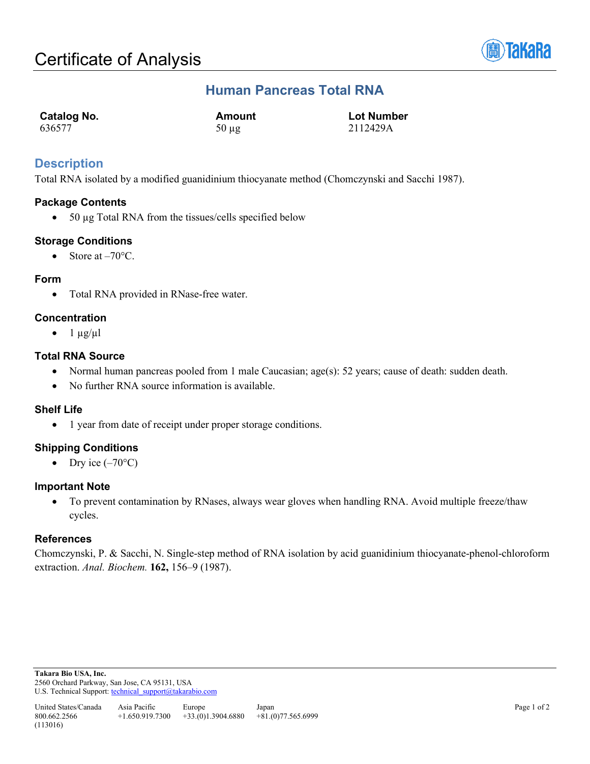

# **Human Pancreas Total RNA**

| Catalog No. | Amount     | <b>Lot Number</b> |
|-------------|------------|-------------------|
| 636577      | $50 \mu g$ | 2112429A          |

## **Description**

Total RNA isolated by a modified guanidinium thiocyanate method (Chomczynski and Sacchi 1987).

## **Package Contents**

• 50 µg Total RNA from the tissues/cells specified below

## **Storage Conditions**

• Store at  $-70^{\circ}$ C.

## **Form**

• Total RNA provided in RNase-free water.

## **Concentration**

 $\bullet$  1  $\mu$ g/ $\mu$ l

## **Total RNA Source**

- Normal human pancreas pooled from 1 male Caucasian; age(s): 52 years; cause of death: sudden death.
- No further RNA source information is available.

## **Shelf Life**

• 1 year from date of receipt under proper storage conditions.

## **Shipping Conditions**

• Dry ice  $(-70^{\circ}C)$ 

## **Important Note**

• To prevent contamination by RNases, always wear gloves when handling RNA. Avoid multiple freeze/thaw cycles.

## **References**

Chomczynski, P. & Sacchi, N. Single-step method of RNA isolation by acid guanidinium thiocyanate-phenol-chloroform extraction. *Anal. Biochem.* **162,** 156–9 (1987).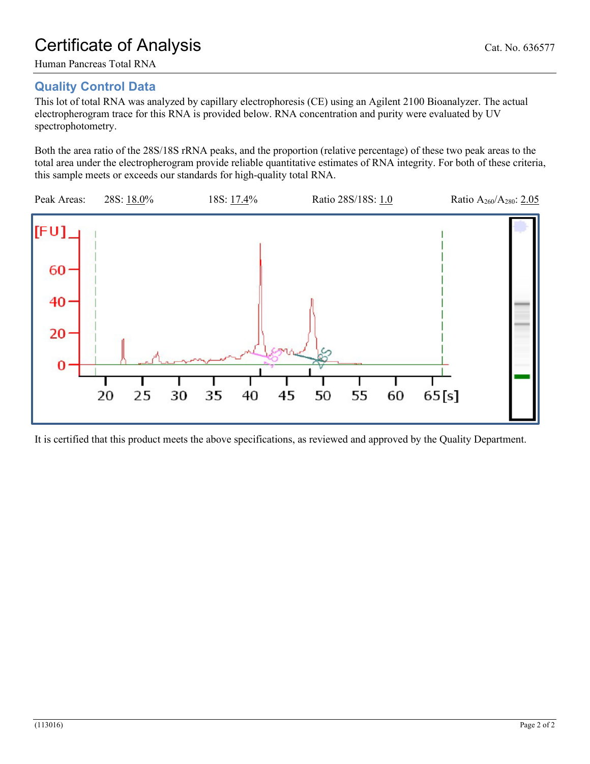# **Quality Control Data**

This lot of total RNA was analyzed by capillary electrophoresis (CE) using an Agilent 2100 Bioanalyzer. The actual electropherogram trace for this RNA is provided below. RNA concentration and purity were evaluated by UV spectrophotometry.

Both the area ratio of the 28S/18S rRNA peaks, and the proportion (relative percentage) of these two peak areas to the total area under the electropherogram provide reliable quantitative estimates of RNA integrity. For both of these criteria, this sample meets or exceeds our standards for high-quality total RNA.



It is certified that this product meets the above specifications, as reviewed and approved by the Quality Department.